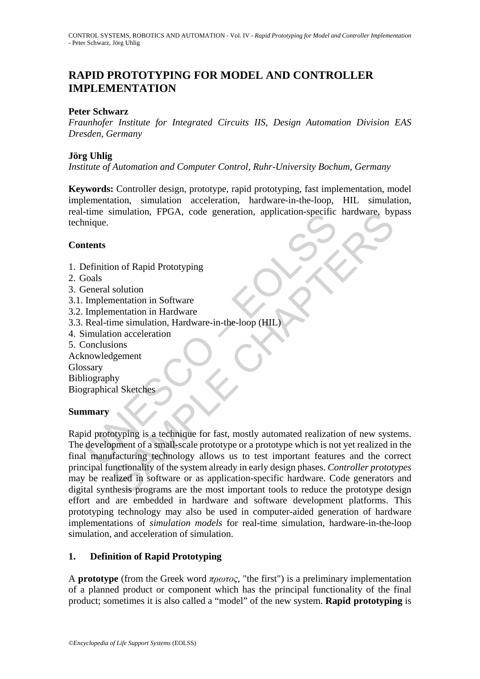## **RAPID PROTOTYPING FOR MODEL AND CONTROLLER IMPLEMENTATION**

#### **Peter Schwarz**

*Fraunhofer Institute for Integrated Circuits IIS, Design Automation Division EAS Dresden, Germany* 

#### **Jörg Uhlig**

*Institute of Automation and Computer Control, Ruhr-University Bochum, Germany* 

**Keywords:** Controller design, prototype, rapid prototyping, fast implementation, model implementation, simulation acceleration, hardware-in-the-loop, HIL simulation, real-time simulation, FPGA, code generation, application-specific hardware, bypass technique.

#### **Contents**

- 1. Definition of Rapid Prototyping
- 2. Goals
- 3. General solution
- 3.1. Implementation in Software
- 3.2. Implementation in Hardware
- 3.3. Real-time simulation, Hardware-in-the-loop (HIL)
- 4. Simulation acceleration
- 5. Conclusions
- Acknowledgement Glossary

Bibliography Biographical Sketches

### **Summary**

Finition of Rapid Prototyping<br>
iones<br>
Metamber 2021<br>
Metamber 2021<br>
Sionals<br>
Definition of Rapid Prototyping<br>
Sionals<br>
Elementation in Software<br>
Implementation in Hardware<br>
Implementation in Hardware<br>
Implementation accele imulation, FPGA, code generation, application-specific naroware, by<br>
non of Rapid Prototyping<br>
solution<br>
mentation in Software<br>
mentation in Hardware<br>
mentation, Hardware-in-the-loop (HIL)<br>
on acceleration<br>
ly<br>
hy<br>
by<br>
sal Rapid prototyping is a technique for fast, mostly automated realization of new systems. The development of a small-scale prototype or a prototype which is not yet realized in the final manufacturing technology allows us to test important features and the correct principal functionality of the system already in early design phases. *Controller prototypes* may be realized in software or as application-specific hardware. Code generators and digital synthesis programs are the most important tools to reduce the prototype design effort and are embedded in hardware and software development platforms. This prototyping technology may also be used in computer-aided generation of hardware implementations of *simulation models* for real-time simulation, hardware-in-the-loop simulation, and acceleration of simulation.

### **1. Definition of Rapid Prototyping**

A **prototype** (from the Greek word *πρωτος*, "the first") is a preliminary implementation of a planned product or component which has the principal functionality of the final product; sometimes it is also called a "model" of the new system. **Rapid prototyping** is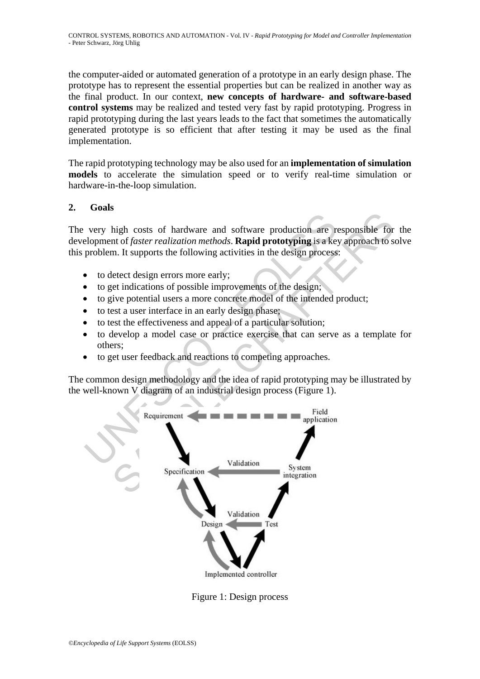the computer-aided or automated generation of a prototype in an early design phase. The prototype has to represent the essential properties but can be realized in another way as the final product. In our context, **new concepts of hardware- and software-based control systems** may be realized and tested very fast by rapid prototyping. Progress in rapid prototyping during the last years leads to the fact that sometimes the automatically generated prototype is so efficient that after testing it may be used as the final implementation.

The rapid prototyping technology may be also used for an **implementation of simulation models** to accelerate the simulation speed or to verify real-time simulation or hardware-in-the-loop simulation.

### **2. Goals**

The very high costs of hardware and software production are responsible for the development of *faster realization methods*. **Rapid prototyping** is a key approach to solve this problem. It supports the following activities in the design process:

- to detect design errors more early;
- to get indications of possible improvements of the design;
- to give potential users a more concrete model of the intended product;
- to test a user interface in an early design phase;
- to test the effectiveness and appeal of a particular solution;
- to develop a model case or practice exercise that can serve as a template for others;
- to get user feedback and reactions to competing approaches.

The common design methodology and the idea of rapid prototyping may be illustrated by the well-known V diagram of an industrial design process (Figure 1).



Figure 1: Design process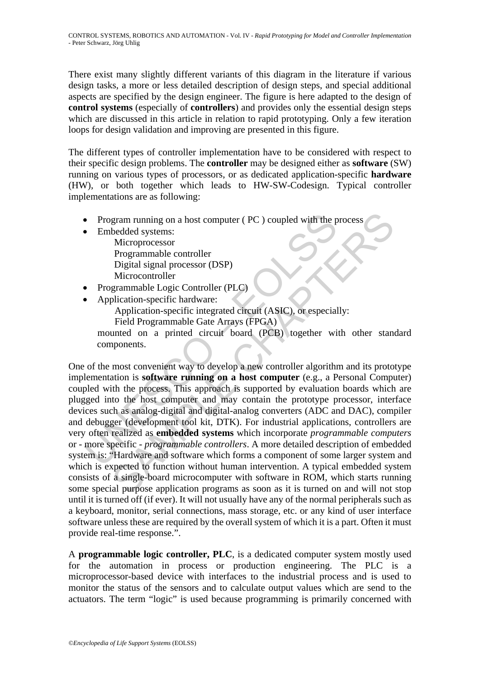There exist many slightly different variants of this diagram in the literature if various design tasks, a more or less detailed description of design steps, and special additional aspects are specified by the design engineer. The figure is here adapted to the design of **control systems** (especially of **controllers**) and provides only the essential design steps which are discussed in this article in relation to rapid prototyping. Only a few iteration loops for design validation and improving are presented in this figure.

The different types of controller implementation have to be considered with respect to their specific design problems. The **controller** may be designed either as **software** (SW) running on various types of processors, or as dedicated application-specific **hardware** (HW), or both together which leads to HW-SW-Codesign. Typical controller implementations are as following:

- Program running on a host computer ( PC ) coupled with the process
- Embedded systems:

 Microprocessor Programmable controller Digital signal processor (DSP) Microcontroller

- Programmable Logic Controller (PLC)
- Application-specific hardware:

Application-specific integrated circuit (ASIC), or especially: Field Programmable Gate Arrays (FPGA)

mounted on a printed circuit board (PCB) together with other standard components.

• Program running on a host computer (PC) coupled with the p<br>
• Embedded systems:<br>
Microprocessor<br>
Programmable controller<br>
Digital signal processor (DSP)<br>
Microcontroller<br>
• Programmable Logic Controller (PLC)<br>
• Applica gram running on a host computer (PC) coupled with the process<br>
bedded systems:<br>
Microprocessor<br>
Microcontroller<br>
Digital signal processor<br>
Digital signal processor<br>
Chaptication-specific integrated circuit (ASIC), or espec One of the most convenient way to develop a new controller algorithm and its prototype implementation is **software running on a host computer** (e.g., a Personal Computer) coupled with the process. This approach is supported by evaluation boards which are plugged into the host computer and may contain the prototype processor, interface devices such as analog-digital and digital-analog converters (ADC and DAC), compiler and debugger (development tool kit, DTK). For industrial applications, controllers are very often realized as **embedded systems** which incorporate *programmable computers* or - more specific - *programmable controllers*. A more detailed description of embedded system is: "Hardware and software which forms a component of some larger system and which is expected to function without human intervention. A typical embedded system consists of a single-board microcomputer with software in ROM, which starts running some special purpose application programs as soon as it is turned on and will not stop until it is turned off (if ever). It will not usually have any of the normal peripherals such as a keyboard, monitor, serial connections, mass storage, etc. or any kind of user interface software unless these are required by the overall system of which it is a part. Often it must provide real-time response.".

A **programmable logic controller, PLC**, is a dedicated computer system mostly used for the automation in process or production engineering. The PLC is a microprocessor-based device with interfaces to the industrial process and is used to monitor the status of the sensors and to calculate output values which are send to the actuators. The term "logic" is used because programming is primarily concerned with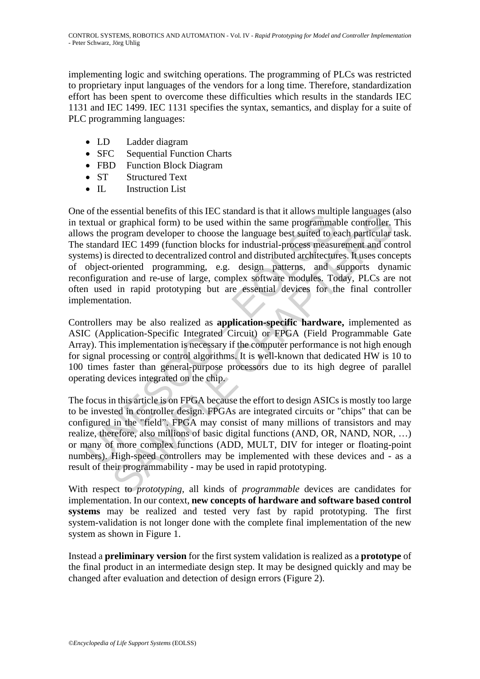implementing logic and switching operations. The programming of PLCs was restricted to proprietary input languages of the vendors for a long time. Therefore, standardization effort has been spent to overcome these difficulties which results in the standards IEC 1131 and IEC 1499. IEC 1131 specifies the syntax, semantics, and display for a suite of PLC programming languages:

- LD Ladder diagram
- SFC Sequential Function Charts
- FBD Function Block Diagram
- ST Structured Text
- IL Instruction List

on the essential denetits of this inc. standard is that it allows multimeted with the same programmal or graphical form) to be used within the same programmal was the program developer to choose the language best suited to essential onenells of unis In-ts standard sural at a tau anows murier anglages or<br>or graphical form) to be used within the same programmable controller,<br>program developer to choose the language best suited to each particul One of the essential benefits of this IEC standard is that it allows multiple languages (also in textual or graphical form) to be used within the same programmable controller. This allows the program developer to choose the language best suited to each particular task. The standard IEC 1499 (function blocks for industrial-process measurement and control systems) is directed to decentralized control and distributed architectures. It uses concepts of object-oriented programming, e.g. design patterns, and supports dynamic reconfiguration and re-use of large, complex software modules. Today, PLCs are not often used in rapid prototyping but are essential devices for the final controller implementation.

Controllers may be also realized as **application-specific hardware,** implemented as ASIC (Application-Specific Integrated Circuit) or FPGA (Field Programmable Gate Array). This implementation is necessary if the computer performance is not high enough for signal processing or control algorithms. It is well-known that dedicated HW is 10 to 100 times faster than general-purpose processors due to its high degree of parallel operating devices integrated on the chip.

The focus in this article is on FPGA because the effort to design ASICs is mostly too large to be invested in controller design. FPGAs are integrated circuits or "chips" that can be configured in the "field". FPGA may consist of many millions of transistors and may realize, therefore, also millions of basic digital functions (AND, OR, NAND, NOR, …) or many of more complex functions (ADD, MULT, DIV for integer or floating-point numbers). High-speed controllers may be implemented with these devices and - as a result of their programmability - may be used in rapid prototyping.

With respect to *prototyping*, all kinds of *programmable* devices are candidates for implementation. In our context, **new concepts of hardware and software based control systems** may be realized and tested very fast by rapid prototyping. The first system-validation is not longer done with the complete final implementation of the new system as shown in Figure 1.

Instead a **preliminary version** for the first system validation is realized as a **prototype** of the final product in an intermediate design step. It may be designed quickly and may be changed after evaluation and detection of design errors (Figure 2).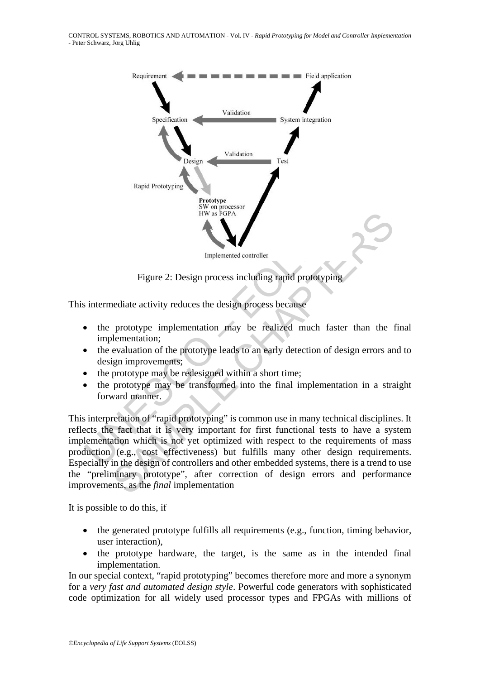

Figure 2: Design process including rapid prototyping

This intermediate activity reduces the design process because

- the prototype implementation may be realized much faster than the final implementation;
- the evaluation of the prototype leads to an early detection of design errors and to design improvements;
- the prototype may be redesigned within a short time;
- the prototype may be transformed into the final implementation in a straight forward manner.

Hw as FGPA<br>
Implemented controller<br>
Figure 2: Design process including rapid prototypin,<br>
intermediate activity reduces the design process because<br>
• the prototype implementation may be realized much fast<br>
implementation;<br> IF the assumed controller<br>
Figure 2: Design process including rapid profotyping<br>
rediate activity reduces the design process because<br>
prototype implementation may be realized much faster than the 1<br>
elementation;<br>
evaluati This interpretation of "rapid prototyping" is common use in many technical disciplines. It reflects the fact that it is very important for first functional tests to have a system implementation which is not yet optimized with respect to the requirements of mass production (e.g., cost effectiveness) but fulfills many other design requirements. Especially in the design of controllers and other embedded systems, there is a trend to use the "preliminary prototype", after correction of design errors and performance improvements, as the *final* implementation

It is possible to do this, if

- the generated prototype fulfills all requirements (e.g., function, timing behavior, user interaction),
- the prototype hardware, the target, is the same as in the intended final implementation.

In our special context, "rapid prototyping" becomes therefore more and more a synonym for a *very fast and automated design style*. Powerful code generators with sophisticated code optimization for all widely used processor types and FPGAs with millions of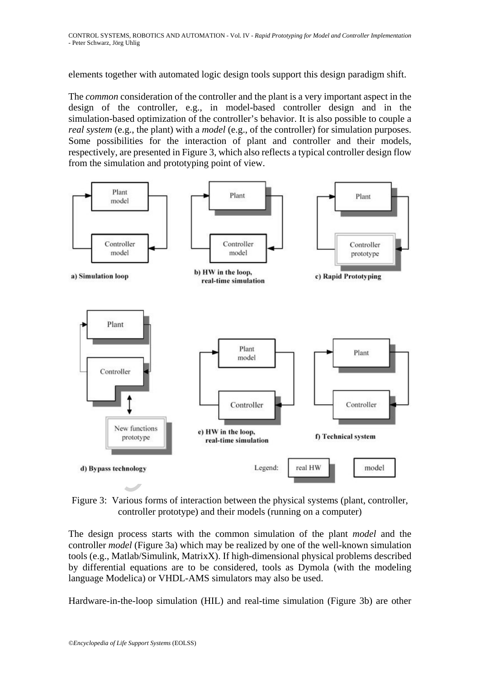elements together with automated logic design tools support this design paradigm shift.

The *common* consideration of the controller and the plant is a very important aspect in the design of the controller, e.g., in model-based controller design and in the simulation-based optimization of the controller's behavior. It is also possible to couple a *real system* (e.g., the plant) with a *model* (e.g., of the controller) for simulation purposes. Some possibilities for the interaction of plant and controller and their models, respectively, are presented in Figure 3, which also reflects a typical controller design flow from the simulation and prototyping point of view.



Figure 3: Various forms of interaction between the physical systems (plant, controller, controller prototype) and their models (running on a computer)

The design process starts with the common simulation of the plant *model* and the controller *model* (Figure 3a) which may be realized by one of the well-known simulation tools (e.g., Matlab/Simulink, MatrixX). If high-dimensional physical problems described by differential equations are to be considered, tools as Dymola (with the modeling language Modelica) or VHDL-AMS simulators may also be used.

Hardware-in-the-loop simulation (HIL) and real-time simulation (Figure 3b) are other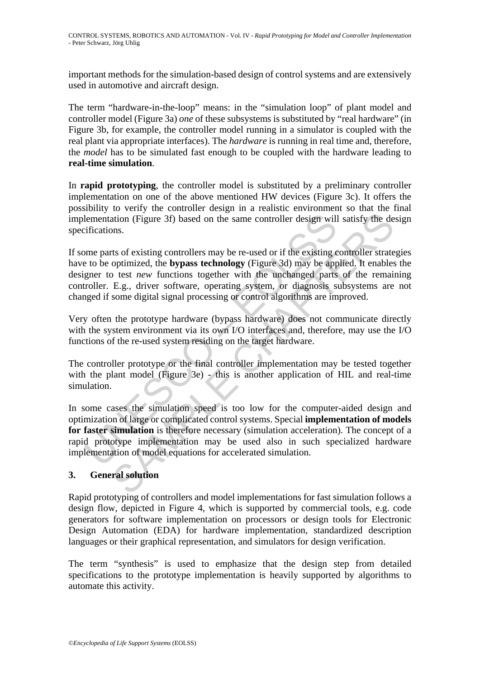important methods for the simulation-based design of control systems and are extensively used in automotive and aircraft design.

The term "hardware-in-the-loop" means: in the "simulation loop" of plant model and controller model (Figure 3a) *one* of these subsystems is substituted by "real hardware" (in Figure 3b, for example, the controller model running in a simulator is coupled with the real plant via appropriate interfaces). The *hardware* is running in real time and, therefore, the *model* has to be simulated fast enough to be coupled with the hardware leading to **real-time simulation**.

In **rapid prototyping**, the controller model is substituted by a preliminary controller implementation on one of the above mentioned HW devices (Figure 3c). It offers the possibility to verify the controller design in a realistic environment so that the final implementation (Figure 3f) based on the same controller design will satisfy the design specifications.

If some parts of existing controllers may be re-used or if the existing controller strategies have to be optimized, the **bypass technology** (Figure 3d) may be applied. It enables the designer to test *new* functions together with the unchanged parts of the remaining controller. E.g., driver software, operating system, or diagnosis subsystems are not changed if some digital signal processing or control algorithms are improved.

Very often the prototype hardware (bypass hardware) does not communicate directly with the system environment via its own I/O interfaces and, therefore, may use the I/O functions of the re-used system residing on the target hardware.

The controller prototype or the final controller implementation may be tested together with the plant model (Figure 3e) - this is another application of HIL and real-time simulation.

lementation (Figure 3f) based on the same controller design will<br>difications.<br>ome parts of existing controllers may be re-used or if the existing<br>te to be optimized, the **bypass technology** (Figure 3d) may be appear<br>to be ation (Figure 3f) based on the same controller design will satisfy the depth.<br>The controllers may be re-used or if the existing controller strate<br>optimized, the **bypass technology** (Figure 3d) may be applied. It enables<br>be In some cases the simulation speed is too low for the computer-aided design and optimization of large or complicated control systems. Special **implementation of models for faster simulation** is therefore necessary (simulation acceleration). The concept of a rapid prototype implementation may be used also in such specialized hardware implementation of model equations for accelerated simulation.

## **3. General solution**

Rapid prototyping of controllers and model implementations for fast simulation follows a design flow, depicted in Figure 4, which is supported by commercial tools, e.g. code generators for software implementation on processors or design tools for Electronic Design Automation (EDA) for hardware implementation, standardized description languages or their graphical representation, and simulators for design verification.

The term "synthesis" is used to emphasize that the design step from detailed specifications to the prototype implementation is heavily supported by algorithms to automate this activity.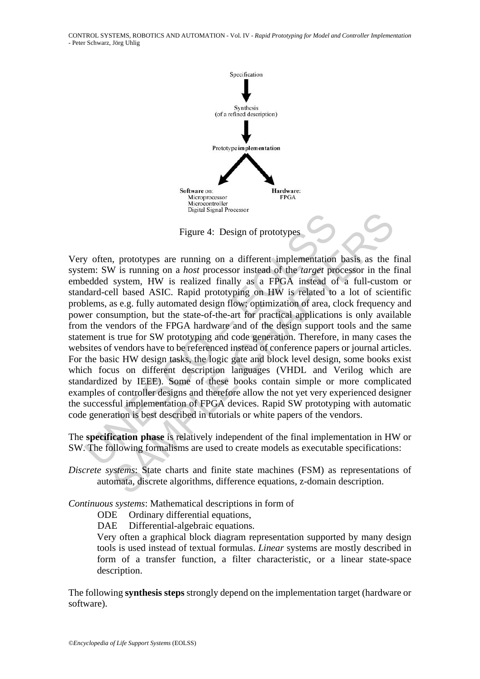CONTROL SYSTEMS, ROBOTICS AND AUTOMATION - Vol. IV - *Rapid Prototyping for Model and Controller Implementation* - Peter Schwarz, Jörg Uhlig



Figure 4: Design of prototypes

Figure 4: Design of prototypes<br>
Figure 4: Design of prototypes<br>
w often, prototypes are running on a different implementation<br>
em: SW is running on a *host* processor instead of the *target* pre<br>
edded system, HW is realiz Figure 4: Design of prototypes<br>Figure 4: Design of prototypes<br>SAMPLE STAMPLE TO and *host* processor instead of the *target* processor in the system, HW is realized finally as a FPGA instead of a full-custom<br>signs as e.g. Very often, prototypes are running on a different implementation basis as the final system: SW is running on a *host* processor instead of the *target* processor in the final embedded system, HW is realized finally as a FPGA instead of a full-custom or standard-cell based ASIC. Rapid prototyping on HW is related to a lot of scientific problems, as e.g. fully automated design flow; optimization of area, clock frequency and power consumption, but the state-of-the-art for practical applications is only available from the vendors of the FPGA hardware and of the design support tools and the same statement is true for SW prototyping and code generation. Therefore, in many cases the websites of vendors have to be referenced instead of conference papers or journal articles. For the basic HW design tasks, the logic gate and block level design, some books exist which focus on different description languages (VHDL and Verilog which are standardized by IEEE). Some of these books contain simple or more complicated examples of controller designs and therefore allow the not yet very experienced designer the successful implementation of FPGA devices. Rapid SW prototyping with automatic code generation is best described in tutorials or white papers of the vendors.

The **specification phase** is relatively independent of the final implementation in HW or SW. The following formalisms are used to create models as executable specifications:

*Discrete systems*: State charts and finite state machines (FSM) as representations of automata, discrete algorithms, difference equations, z-domain description.

*Continuous systems*: Mathematical descriptions in form of

ODE Ordinary differential equations,

DAE Differential-algebraic equations.

Very often a graphical block diagram representation supported by many design tools is used instead of textual formulas. *Linear* systems are mostly described in form of a transfer function, a filter characteristic, or a linear state-space description.

The following **synthesis steps** strongly depend on the implementation target (hardware or software).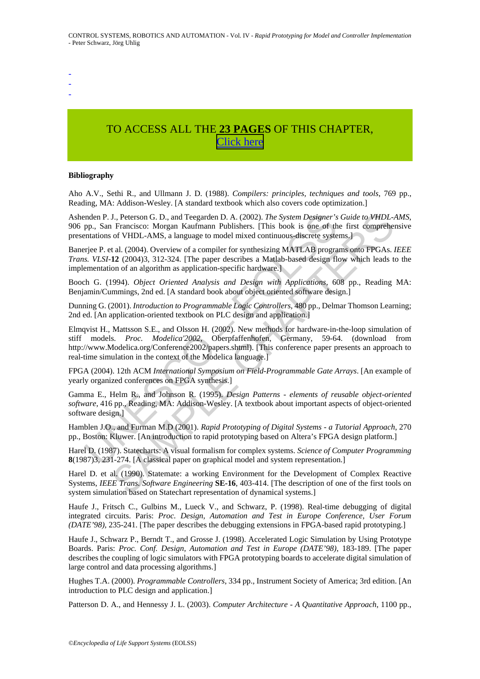- -
- -
- -

# TO ACCESS ALL THE **23 PAGES** OF THIS CHAPTER, [C](https://www.eolss.net/ebooklib/sc_cart.aspx?File=E6-43-07-05)[lick here](http://www.eolss.net/Eolss-sampleAllChapter.aspx)

#### **Bibliography**

Aho A.V., Sethi R., and Ullmann J. D. (1988). *Compilers: principles, techniques and tools*, 769 pp., Reading, MA: Addison-Wesley. [A standard textbook which also covers code optimization.]

Ashenden P. J., Peterson G. D., and Teegarden D. A. (2002). *The System Designer's Guide to VHDL-AMS*, 906 pp., San Francisco: Morgan Kaufmann Publishers. [This book is one of the first comprehensive presentations of VHDL-AMS, a language to model mixed continuous-discrete systems.]

Banerjee P. et al. (2004). Overview of a compiler for synthesizing MATLAB programs onto FPGAs. *IEEE Trans. VLSI*-**12** (2004)3, 312-324. [The paper describes a Matlab-based design flow which leads to the implementation of an algorithm as application-specific hardware.]

Booch G. (1994). *Object Oriented Analysis and Design with Applications*, 608 pp., Reading MA: Benjamin/Cummings, 2nd ed. [A standard book about object oriented software design.]

Dunning G. (2001). *Introduction to Programmable Logic Controllers*, 480 pp., Delmar Thomson Learning; 2nd ed. [An application-oriented textbook on PLC design and application.]

nden P. J., Peterson G. D., and Teegarden D. A. (2002). *The System Designer's*<br>pp., San Francisco: Morgan Kaufmann Publishers. [This book is one of the<br>matitions of VHDL-AMS, a language to model mixed continuous-discrete J., Peterson G. D., and Teegarden D. A. (2002). *The System Designer's Guide to VHDL*-<br>Francisco: Morgan Kadimann Publishers. [This book is one of the first comprehent<br>of VHDL-AMS, a language to model mixed continuous-disc Elmqvist H., Mattsson S.E., and Olsson H. (2002). New methods for hardware-in-the-loop simulation of stiff models. *Proc. Modelica'2002*, Oberpfaffenhofen, Germany, 59-64. (download from http://www.Modelica.org/Conference2002/papers.shtml). [This conference paper presents an approach to real-time simulation in the context of the Modelica language.]

FPGA (2004). 12th ACM *International Symposium on Field-Programmable Gate Arrays*. [An example of yearly organized conferences on FPGA synthesis.]

Gamma E., Helm R., and Johnson R. (1995). *Design Patterns - elements of reusable object-oriented software*, 416 pp., Reading, MA: Addison-Wesley. [A textbook about important aspects of object-oriented software design.]

Hamblen J.O., and Furman M.D (2001). *Rapid Prototyping of Digital Systems - a Tutorial Approach*, 270 pp., Boston: Kluwer. [An introduction to rapid prototyping based on Altera's FPGA design platform.]

Harel D. (1987). Statecharts: A visual formalism for complex systems. *Science of Computer Programming* **8**(1987)3, 231-274. [A classical paper on graphical model and system representation.]

Harel D. et al. (1990). Statemate: a working Environment for the Development of Complex Reactive Systems, *IEEE Trans. Software Engineering* **SE-16**, 403-414. [The description of one of the first tools on system simulation based on Statechart representation of dynamical systems.]

Haufe J., Fritsch C., Gulbins M., Lueck V., and Schwarz, P. (1998). Real-time debugging of digital integrated circuits. Paris: *Proc. Design, Automation and Test in Europe Conference, User Forum (DATE'98),* 235-241. [The paper describes the debugging extensions in FPGA-based rapid prototyping.]

Haufe J., Schwarz P., Berndt T., and Grosse J. (1998). Accelerated Logic Simulation by Using Prototype Boards. Paris: *Proc. Conf. Design, Automation and Test in Europe (DATE'98)*, 183-189. [The paper describes the coupling of logic simulators with FPGA prototyping boards to accelerate digital simulation of large control and data processing algorithms.]

Hughes T.A. (2000). *Programmable Controllers*, 334 pp., Instrument Society of America; 3rd edition. [An introduction to PLC design and application.]

Patterson D. A., and Hennessy J. L. (2003). *Computer Architecture - A Quantitative Approach*, 1100 pp.,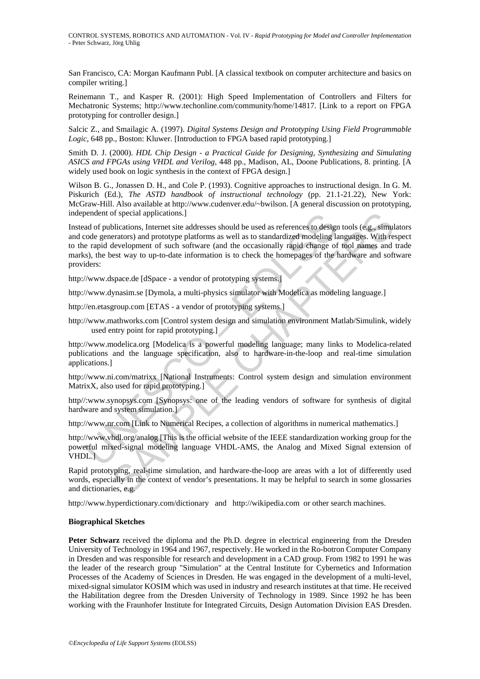San Francisco, CA: Morgan Kaufmann Publ. [A classical textbook on computer architecture and basics on compiler writing.]

Reinemann T., and Kasper R. (2001): High Speed Implementation of Controllers and Filters for Mechatronic Systems; http://www.techonline.com/community/home/14817. [Link to a report on FPGA prototyping for controller design.]

Salcic Z., and Smailagic A. (1997). *Digital Systems Design and Prototyping Using Field Programmable Logic*, 648 pp., Boston: Kluwer. [Introduction to FPGA based rapid prototyping.]

Smith D. J. (2000). *HDL Chip Design - a Practical Guide for Designing, Synthesizing and Simulating ASICS and FPGAs using VHDL and Verilog*, 448 pp., Madison, AL, Doone Publications, 8. printing. [A widely used book on logic synthesis in the context of FPGA design.]

Wilson B. G., Jonassen D. H., and Cole P. (1993). Cognitive approaches to instructional design. In G. M. Piskurich (Ed.), *The ASTD handbook of instructional technology* (pp. 21.1-21.22), New York: McGraw-Hill. Also available at http://www.cudenver.edu/~bwilson. [A general discussion on prototyping, independent of special applications.]

bendent of special applications.]<br>and of publications, Internet tist addresses should be used as references to design<br>code generators) and prototype platforms as well as to standardized modeling la<br>c rapid development of s of special applications.]<br>blications, Internet site addresses should be used as references to design tools (e.g., simultications, Internet site addresses should be used as references to design tools (e.g., simulteriors) an Instead of publications, Internet site addresses should be used as references to design tools (e.g., simulators and code generators) and prototype platforms as well as to standardized modeling languages. With respect to the rapid development of such software (and the occasionally rapid change of tool names and trade marks), the best way to up-to-date information is to check the homepages of the hardware and software providers:

http://www.dspace.de [dSpace - a vendor of prototyping systems.]

http://www.dynasim.se [Dymola, a multi-physics simulator with Modelica as modeling language.]

http://en.etasgroup.com [ETAS - a vendor of prototyping systems.]

http://www.mathworks.com [Control system design and simulation environment Matlab/Simulink, widely used entry point for rapid prototyping.]

http://www.modelica.org [Modelica is a powerful modeling language; many links to Modelica-related publications and the language specification, also to hardware-in-the-loop and real-time simulation applications.]

http://www.ni.com/matrixx [National Instruments: Control system design and simulation environment MatrixX, also used for rapid prototyping.]

http//:www.synopsys.com [Synopsys: one of the leading vendors of software for synthesis of digital hardware and system simulation.]

http://www.nr.com [Link to Numerical Recipes, a collection of algorithms in numerical mathematics.]

http://www.vhdl.org/analog [This is the official website of the IEEE standardization working group for the powerful mixed-signal modeling language VHDL-AMS, the Analog and Mixed Signal extension of VHDL.]

Rapid prototyping, real-time simulation, and hardware-the-loop are areas with a lot of differently used words, especially in the context of vendor's presentations. It may be helpful to search in some glossaries and dictionaries, e.g.

http://www.hyperdictionary.com/dictionary and http://wikipedia.com or other search machines.

#### **Biographical Sketches**

**Peter Schwarz** received the diploma and the Ph.D. degree in electrical engineering from the Dresden University of Technology in 1964 and 1967, respectively. He worked in the Ro-botron Computer Company in Dresden and was responsible for research and development in a CAD group. From 1982 to 1991 he was the leader of the research group "Simulation" at the Central Institute for Cybernetics and Information Processes of the Academy of Sciences in Dresden. He was engaged in the development of a multi-level, mixed-signal simulator KOSIM which was used in industry and research institutes at that time. He received the Habilitation degree from the Dresden University of Technology in 1989. Since 1992 he has been working with the Fraunhofer Institute for Integrated Circuits, Design Automation Division EAS Dresden.